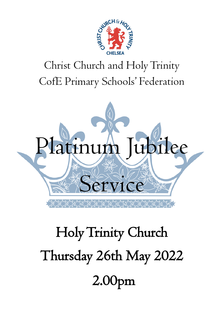

# Christ Church and Holy Trinity CofE Primary Schools' Federation



# Holy Trinity Church Thursday 26th May 2022 2.00pm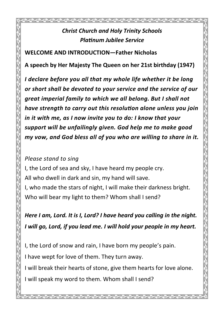# *Christ Church and Holy Trinity Schools Platinum Jubilee Service*

**WELCOME AND INTRODUCTION—Father Nicholas**

**A speech by Her Majesty The Queen on her 21st birthday (1947)**

*I declare before you all that my whole life whether it be long or short shall be devoted to your service and the service of our great imperial family to which we all belong. But I shall not have strength to carry out this resolution alone unless you join in it with me, as I now invite you to do: I know that your support will be unfailingly given. God help me to make good my vow, and God bless all of you who are willing to share in it.*

#### *Please stand to sing*

I, the Lord of sea and sky, I have heard my people cry. All who dwell in dark and sin, my hand will save. I, who made the stars of night, I will make their darkness bright.

Who will bear my light to them? Whom shall I send?

*Here I am, Lord. It is I, Lord? I have heard you calling in the night. I will go, Lord, if you lead me. I will hold your people in my heart.*

I, the Lord of snow and rain, I have born my people's pain.

I have wept for love of them. They turn away.

I will break their hearts of stone, give them hearts for love alone.

I will speak my word to them. Whom shall I send?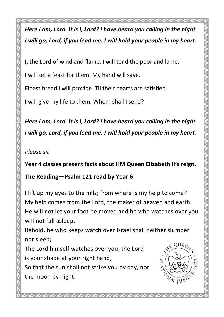うくうくうくうくうくうくうくうくうくうくうくうくうくうぎ *Here I am, Lord. It is I, Lord? I have heard you calling in the night. I will go, Lord, if you lead me. I will hold your people in my heart.* I, the Lord of wind and flame, I will tend the poor and lame. the moon by night.

**WE QUEEN PLA**  $U_M$  JUBI

I lift up my eyes to the hills; from where is my help to come?

My help comes from the Lord, the maker of heaven and earth. He will not let your foot be moved and he who watches over you will not fall asleep.

Behold, he who keeps watch over Israel shall neither slumber nor sleep;

The Lord himself watches over you; the Lord

is your shade at your right hand,

So that the sun shall not strike you by day, nor

I will set a feast for them. My hand will save.

Finest bread I will provide. Til their hearts are satisfied.

I will give my life to them. Whom shall I send?

*Here I am, Lord. It is I, Lord? I have heard you calling in the night. I will go, Lord, if you lead me. I will hold your people in my heart.*

*Please sit*

# **Year 4 classes present facts about HM Queen Elizabeth II's reign.**

**The Reading—Psalm 121 read by Year 6**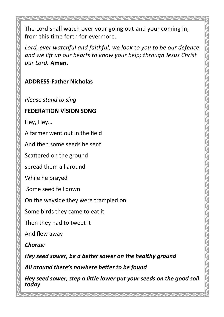The Lord shall watch over your going out and your coming in, from this time forth for evermore.

*Lord, ever watchful and faithful, we look to you to be our defence and we lift up our hearts to know your help; through Jesus Christ our Lord.* **Amen.**

#### **ADDRESS-Father Nicholas**

*Please stand to sing*

#### **FEDERATION VISION SONG**

Hey, Hey…

A farmer went out in the field

And then some seeds he sent

Scattered on the ground

spread them all around

While he prayed

Some seed fell down

On the wayside they were trampled on

Some birds they came to eat it

Then they had to tweet it

And flew away

*Chorus:* 

*Hey seed sower, be a better sower on the healthy ground*

*All around there's nowhere better to be found*

*Hey seed sower, step a little lower put your seeds on the good soil today*

ۯؠڗۄؠڒؠڗؠڔؠ؋ؠڗؠڗؠڗؠڗؠڗؠڔؠ؋ؠ؆ؠ؆ؠ؆ؠ؆ؠ؆ؠ؆ؠ؆ؠ؆ؠ؆ؠ؆ؠ؆ؠ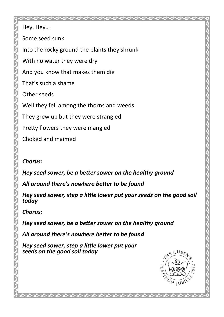Hey, Hey… Some seed sunk Into the rocky ground the plants they shrunk With no water they were dry And you know that makes them die That's such a shame Other seeds Well they fell among the thorns and weeds

They grew up but they were strangled

Pretty flowers they were mangled

Choked and maimed

#### *Chorus:*

*Hey seed sower, be a better sower on the healthy ground*

*All around there's nowhere better to be found*

*Hey seed sower, step a little lower put your seeds on the good soil today*

*Chorus:* 

*Hey seed sower, be a better sower on the healthy ground*

*All around there's nowhere better to be found*

*Hey seed sower, step a little lower put your seeds on the good soil today*

 $\mathcal{R} = \mathcal{R} = \mathcal{R} = \mathcal{R} = \mathcal{R} = \mathcal{R}$ 

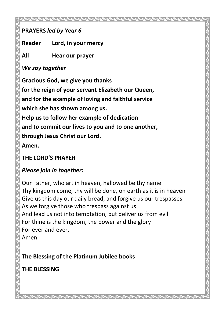### **PRAYERS** *led by Year 6*

**Reader Lord, in your mercy**

**All Hear our prayer**

*We say together*

**Gracious God, we give you thanks for the reign of your servant Elizabeth our Queen, and for the example of loving and faithful service which she has shown among us. Help us to follow her example of dedication and to commit our lives to you and to one another, through Jesus Christ our Lord. Amen.**

# **THE LORD'S PRAYER**

# *Please join in together:*

Our Father, who art in heaven, hallowed be thy name Thy kingdom come, thy will be done, on earth as it is in heaven Give us this day our daily bread, and forgive us our trespasses As we forgive those who trespass against us And lead us not into temptation, but deliver us from evil For thine is the kingdom, the power and the glory For ever and ever, Amen

**The Blessing of the Platinum Jubilee books**

# **THE BLESSING**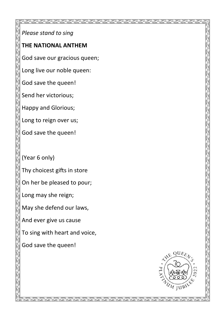*Please stand to sing*

#### **THE NATIONAL ANTHEM**

God save our gracious queen;

Long live our noble queen:

God save the queen!

Send her victorious;

Happy and Glorious;

Long to reign over us;

God save the queen!

(Year 6 only)

Thy choicest gifts in store

On her be pleased to pour;

Long may she reign;

May she defend our laws,

And ever give us cause

To sing with heart and voice,

God save the queen!